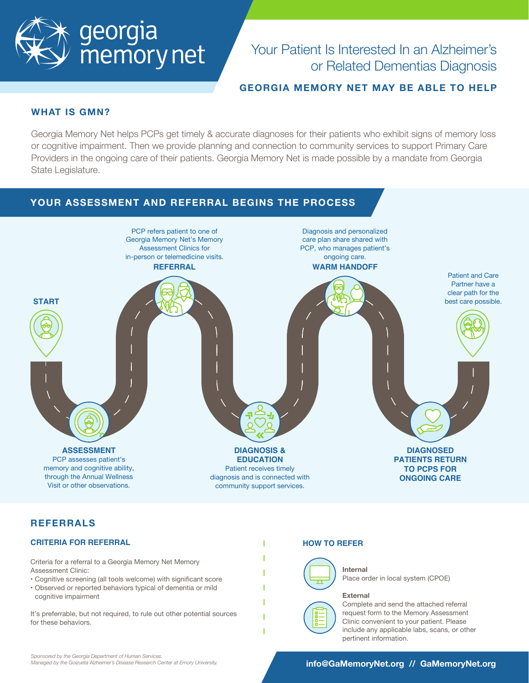

# Your Patient Is Interested In an Alzheimer's or Related Dementias Diagnosis

## **GEORGIA MEMORY NET MAY BE ABLE TO HELP**

#### **WHAT IS GMN?**

Georgia Memory Net helps PCPs get timely & accurate diagnoses for their patients who exhibit signs of memory loss or cognitive impairment. Then we provide planning and connection to community services to support Primary Care Providers in the ongoing care of their patients. Georgia Memory Net is made possible by a mandate from Georgia State Legislature.



## **REFERRALS**

#### **CRITERIA FOR REFERRAL**

Criteria for a referral to a Georgia Memory Net Memory Assessment Clinic:

- Cognitive screening (all tools welcome) with significant score
- Observed or reported behaviors typical of dementia or mild cognitive impairment

It's preferrable, but not required, to rule out other potential sources for these behaviors.

#### **HOW TO REFER**



**Internal**

Place order in local system (CPOE)

#### **External**



Complete and send the attached referral request form to the Memory Assessment Clinic convenient to your patient. Please include any applicable labs, scans, or other pertinent information.